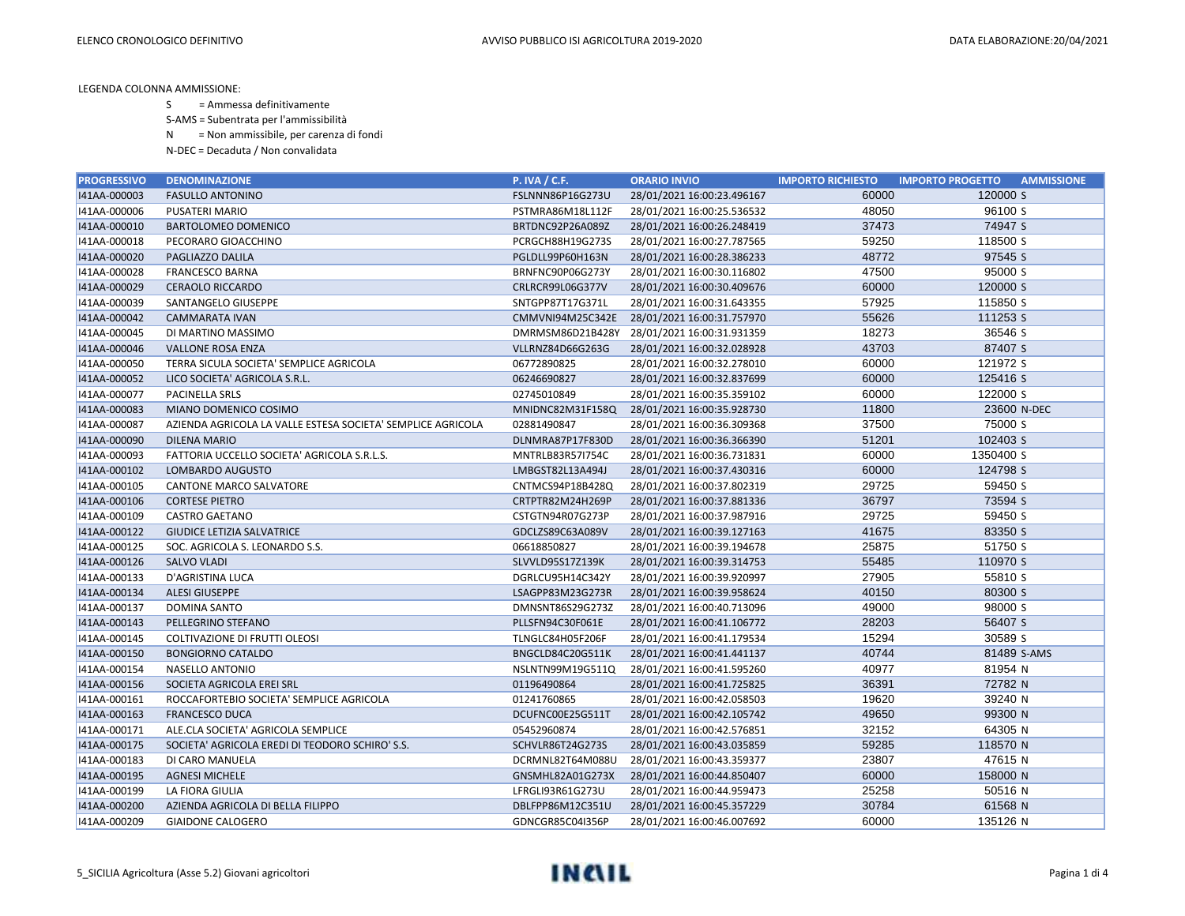S = Ammessa definitivamente

S-AMS = Subentrata per l'ammissibilità

N = Non ammissibile, per carenza di fondi

| <b>PROGRESSIVO</b> | <b>DENOMINAZIONE</b>                                        | P. IVA / C.F.    | <b>ORARIO INVIO</b>        | <b>IMPORTO RICHIESTO</b> | <b>IMPORTO PROGETTO</b><br><b>AMMISSIONE</b> |
|--------------------|-------------------------------------------------------------|------------------|----------------------------|--------------------------|----------------------------------------------|
| I41AA-000003       | <b>FASULLO ANTONINO</b>                                     | FSLNNN86P16G273U | 28/01/2021 16:00:23.496167 | 60000                    | 120000 S                                     |
| I41AA-000006       | PUSATERI MARIO                                              | PSTMRA86M18L112F | 28/01/2021 16:00:25.536532 | 48050                    | 96100 S                                      |
| 141AA-000010       | <b>BARTOLOMEO DOMENICO</b>                                  | BRTDNC92P26A089Z | 28/01/2021 16:00:26.248419 | 37473                    | 74947 S                                      |
| I41AA-000018       | PECORARO GIOACCHINO                                         | PCRGCH88H19G273S | 28/01/2021 16:00:27.787565 | 59250                    | 118500 S                                     |
| 141AA-000020       | PAGLIAZZO DALILA                                            | PGLDLL99P60H163N | 28/01/2021 16:00:28.386233 | 48772                    | 97545 S                                      |
| I41AA-000028       | FRANCESCO BARNA                                             | BRNFNC90P06G273Y | 28/01/2021 16:00:30.116802 | 47500                    | 95000 S                                      |
| I41AA-000029       | <b>CERAOLO RICCARDO</b>                                     | CRLRCR99L06G377V | 28/01/2021 16:00:30.409676 | 60000                    | 120000 S                                     |
| I41AA-000039       | SANTANGELO GIUSEPPE                                         | SNTGPP87T17G371L | 28/01/2021 16:00:31.643355 | 57925                    | 115850 S                                     |
| 141AA-000042       | <b>CAMMARATA IVAN</b>                                       | CMMVNI94M25C342E | 28/01/2021 16:00:31.757970 | 55626                    | 111253 S                                     |
| I41AA-000045       | DI MARTINO MASSIMO                                          | DMRMSM86D21B428Y | 28/01/2021 16:00:31.931359 | 18273                    | 36546 S                                      |
| I41AA-000046       | <b>VALLONE ROSA ENZA</b>                                    | VLLRNZ84D66G263G | 28/01/2021 16:00:32.028928 | 43703                    | 87407 S                                      |
| I41AA-000050       | TERRA SICULA SOCIETA' SEMPLICE AGRICOLA                     | 06772890825      | 28/01/2021 16:00:32.278010 | 60000                    | 121972 S                                     |
| 141AA-000052       | LICO SOCIETA' AGRICOLA S.R.L.                               | 06246690827      | 28/01/2021 16:00:32.837699 | 60000                    | 125416 S                                     |
| I41AA-000077       | PACINELLA SRLS                                              | 02745010849      | 28/01/2021 16:00:35.359102 | 60000                    | 122000 S                                     |
| I41AA-000083       | MIANO DOMENICO COSIMO                                       | MNIDNC82M31F158Q | 28/01/2021 16:00:35.928730 | 11800                    | 23600 N-DEC                                  |
| I41AA-000087       | AZIENDA AGRICOLA LA VALLE ESTESA SOCIETA' SEMPLICE AGRICOLA | 02881490847      | 28/01/2021 16:00:36.309368 | 37500                    | 75000 S                                      |
| 141AA-000090       | <b>DILENA MARIO</b>                                         | DLNMRA87P17F830D | 28/01/2021 16:00:36.366390 | 51201                    | 102403 S                                     |
| I41AA-000093       | FATTORIA UCCELLO SOCIETA' AGRICOLA S.R.L.S.                 | MNTRLB83R57I754C | 28/01/2021 16:00:36.731831 | 60000                    | 1350400 S                                    |
| I41AA-000102       | LOMBARDO AUGUSTO                                            | LMBGST82L13A494J | 28/01/2021 16:00:37.430316 | 60000                    | 124798 S                                     |
| I41AA-000105       | CANTONE MARCO SALVATORE                                     | CNTMCS94P18B428Q | 28/01/2021 16:00:37.802319 | 29725                    | 59450 S                                      |
| 141AA-000106       | <b>CORTESE PIETRO</b>                                       | CRTPTR82M24H269P | 28/01/2021 16:00:37.881336 | 36797                    | 73594 S                                      |
| I41AA-000109       | <b>CASTRO GAETANO</b>                                       | CSTGTN94R07G273P | 28/01/2021 16:00:37.987916 | 29725                    | 59450 S                                      |
| 141AA-000122       | <b>GIUDICE LETIZIA SALVATRICE</b>                           | GDCLZS89C63A089V | 28/01/2021 16:00:39.127163 | 41675                    | 83350 S                                      |
| I41AA-000125       | SOC. AGRICOLA S. LEONARDO S.S.                              | 06618850827      | 28/01/2021 16:00:39.194678 | 25875                    | 51750 S                                      |
| I41AA-000126       | <b>SALVO VLADI</b>                                          | SLVVLD95S17Z139K | 28/01/2021 16:00:39.314753 | 55485                    | 110970 S                                     |
| I41AA-000133       | D'AGRISTINA LUCA                                            | DGRLCU95H14C342Y | 28/01/2021 16:00:39.920997 | 27905                    | 55810 S                                      |
| I41AA-000134       | <b>ALESI GIUSEPPE</b>                                       | LSAGPP83M23G273R | 28/01/2021 16:00:39.958624 | 40150                    | 80300 S                                      |
| I41AA-000137       | DOMINA SANTO                                                | DMNSNT86S29G273Z | 28/01/2021 16:00:40.713096 | 49000                    | 98000 S                                      |
| I41AA-000143       | PELLEGRINO STEFANO                                          | PLLSFN94C30F061E | 28/01/2021 16:00:41.106772 | 28203                    | 56407 S                                      |
| I41AA-000145       | COLTIVAZIONE DI FRUTTI OLEOSI                               | TLNGLC84H05F206F | 28/01/2021 16:00:41.179534 | 15294                    | 30589 S                                      |
| 141AA-000150       | <b>BONGIORNO CATALDO</b>                                    | BNGCLD84C20G511K | 28/01/2021 16:00:41.441137 | 40744                    | 81489 S-AMS                                  |
| I41AA-000154       | NASELLO ANTONIO                                             | NSLNTN99M19G511Q | 28/01/2021 16:00:41.595260 | 40977                    | 81954 N                                      |
| I41AA-000156       | SOCIETA AGRICOLA EREI SRL                                   | 01196490864      | 28/01/2021 16:00:41.725825 | 36391                    | 72782 N                                      |
| I41AA-000161       | ROCCAFORTEBIO SOCIETA' SEMPLICE AGRICOLA                    | 01241760865      | 28/01/2021 16:00:42.058503 | 19620                    | 39240 N                                      |
| I41AA-000163       | <b>FRANCESCO DUCA</b>                                       | DCUFNC00E25G511T | 28/01/2021 16:00:42.105742 | 49650                    | 99300 N                                      |
| I41AA-000171       | ALE.CLA SOCIETA' AGRICOLA SEMPLICE                          | 05452960874      | 28/01/2021 16:00:42.576851 | 32152                    | 64305 N                                      |
| I41AA-000175       | SOCIETA' AGRICOLA EREDI DI TEODORO SCHIRO' S.S.             | SCHVLR86T24G273S | 28/01/2021 16:00:43.035859 | 59285                    | 118570 N                                     |
| I41AA-000183       | DI CARO MANUELA                                             | DCRMNL82T64M088U | 28/01/2021 16:00:43.359377 | 23807                    | 47615 N                                      |
| I41AA-000195       | <b>AGNESI MICHELE</b>                                       | GNSMHL82A01G273X | 28/01/2021 16:00:44.850407 | 60000                    | 158000 N                                     |
| I41AA-000199       | LA FIORA GIULIA                                             | LFRGLI93R61G273U | 28/01/2021 16:00:44.959473 | 25258                    | 50516 N                                      |
| 141AA-000200       | AZIENDA AGRICOLA DI BELLA FILIPPO                           | DBLFPP86M12C351U | 28/01/2021 16:00:45.357229 | 30784                    | 61568 N                                      |
| 141AA-000209       | <b>GIAIDONE CALOGERO</b>                                    | GDNCGR85C04I356P | 28/01/2021 16:00:46.007692 | 60000                    | 135126 N                                     |

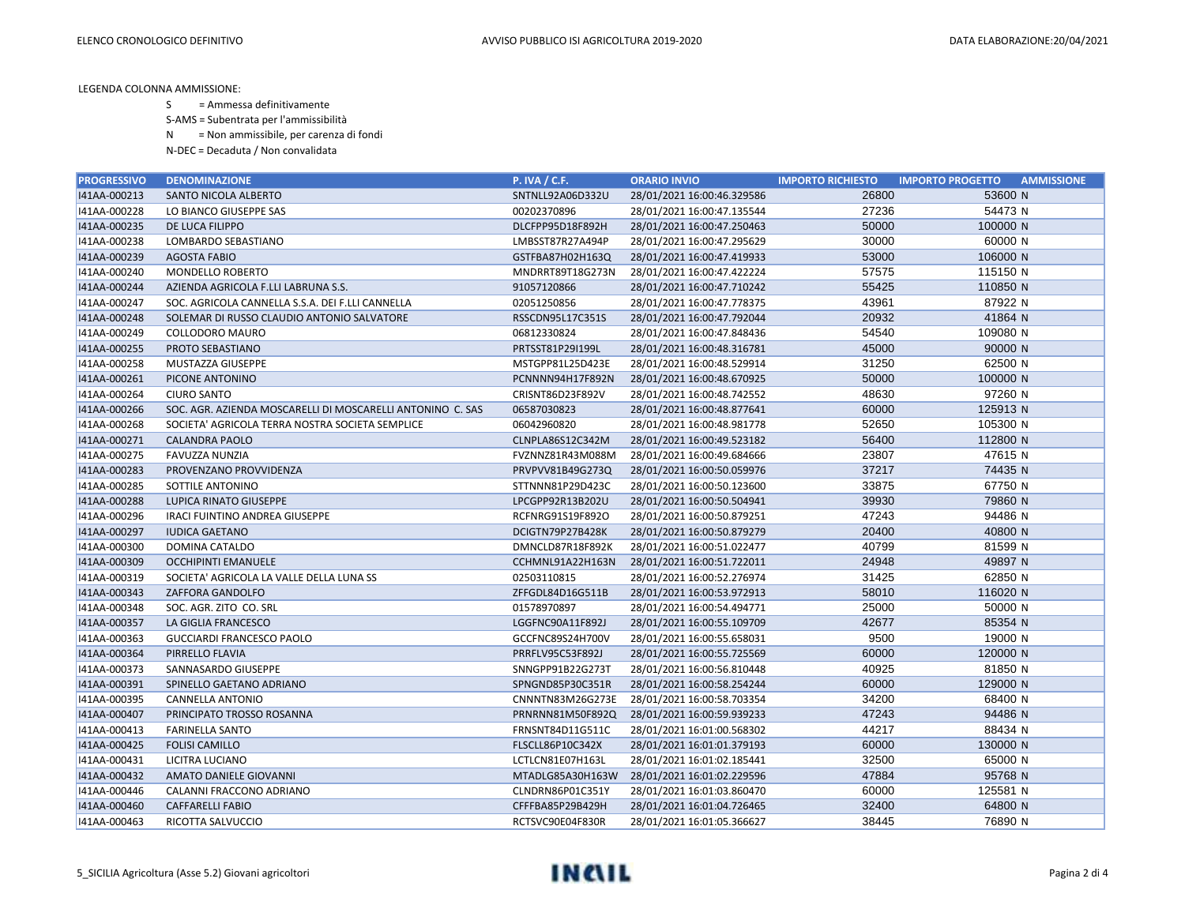S = Ammessa definitivamente

S-AMS = Subentrata per l'ammissibilità

N = Non ammissibile, per carenza di fondi

| <b>PROGRESSIVO</b> | <b>DENOMINAZIONE</b>                                       | <b>P. IVA / C.F.</b> | <b>ORARIO INVIO</b>        | <b>IMPORTO RICHIESTO</b> | <b>IMPORTO PROGETTO</b><br><b>AMMISSIONE</b> |
|--------------------|------------------------------------------------------------|----------------------|----------------------------|--------------------------|----------------------------------------------|
| I41AA-000213       | SANTO NICOLA ALBERTO                                       | SNTNLL92A06D332U     | 28/01/2021 16:00:46.329586 | 26800                    | 53600 N                                      |
| I41AA-000228       | LO BIANCO GIUSEPPE SAS                                     | 00202370896          | 28/01/2021 16:00:47.135544 | 27236                    | 54473 N                                      |
| I41AA-000235       | DE LUCA FILIPPO                                            | DLCFPP95D18F892H     | 28/01/2021 16:00:47.250463 | 50000                    | 100000 N                                     |
| I41AA-000238       | LOMBARDO SEBASTIANO                                        | LMBSST87R27A494P     | 28/01/2021 16:00:47.295629 | 30000                    | 60000 N                                      |
| I41AA-000239       | <b>AGOSTA FABIO</b>                                        | GSTFBA87H02H163Q     | 28/01/2021 16:00:47.419933 | 53000                    | 106000 N                                     |
| I41AA-000240       | <b>MONDELLO ROBERTO</b>                                    | MNDRRT89T18G273N     | 28/01/2021 16:00:47.422224 | 57575                    | 115150 N                                     |
| I41AA-000244       | AZIENDA AGRICOLA F.LLI LABRUNA S.S.                        | 91057120866          | 28/01/2021 16:00:47.710242 | 55425                    | 110850 N                                     |
| I41AA-000247       | SOC. AGRICOLA CANNELLA S.S.A. DEI F.LLI CANNELLA           | 02051250856          | 28/01/2021 16:00:47.778375 | 43961                    | 87922 N                                      |
| I41AA-000248       | SOLEMAR DI RUSSO CLAUDIO ANTONIO SALVATORE                 | RSSCDN95L17C351S     | 28/01/2021 16:00:47.792044 | 20932                    | 41864 N                                      |
| I41AA-000249       | COLLODORO MAURO                                            | 06812330824          | 28/01/2021 16:00:47.848436 | 54540                    | 109080 N                                     |
| I41AA-000255       | PROTO SEBASTIANO                                           | PRTSST81P29I199L     | 28/01/2021 16:00:48.316781 | 45000                    | 90000 N                                      |
| I41AA-000258       | MUSTAZZA GIUSEPPE                                          | MSTGPP81L25D423E     | 28/01/2021 16:00:48.529914 | 31250                    | 62500 N                                      |
| I41AA-000261       | PICONE ANTONINO                                            | PCNNNN94H17F892N     | 28/01/2021 16:00:48.670925 | 50000                    | 100000 N                                     |
| I41AA-000264       | <b>CIURO SANTO</b>                                         | CRISNT86D23F892V     | 28/01/2021 16:00:48.742552 | 48630                    | 97260 N                                      |
| I41AA-000266       | SOC. AGR. AZIENDA MOSCARELLI DI MOSCARELLI ANTONINO C. SAS | 06587030823          | 28/01/2021 16:00:48.877641 | 60000                    | 125913 N                                     |
| I41AA-000268       | SOCIETA' AGRICOLA TERRA NOSTRA SOCIETA SEMPLICE            | 06042960820          | 28/01/2021 16:00:48.981778 | 52650                    | 105300 N                                     |
| I41AA-000271       | <b>CALANDRA PAOLO</b>                                      | CLNPLA86S12C342M     | 28/01/2021 16:00:49.523182 | 56400                    | 112800 N                                     |
| I41AA-000275       | FAVUZZA NUNZIA                                             | FVZNNZ81R43M088M     | 28/01/2021 16:00:49.684666 | 23807                    | 47615 N                                      |
| I41AA-000283       | PROVENZANO PROVVIDENZA                                     | PRVPVV81B49G273Q     | 28/01/2021 16:00:50.059976 | 37217                    | 74435 N                                      |
| 141AA-000285       | SOTTILE ANTONINO                                           | STTNNN81P29D423C     | 28/01/2021 16:00:50.123600 | 33875                    | 67750 N                                      |
| I41AA-000288       | LUPICA RINATO GIUSEPPE                                     | LPCGPP92R13B202U     | 28/01/2021 16:00:50.504941 | 39930                    | 79860 N                                      |
| I41AA-000296       | IRACI FUINTINO ANDREA GIUSEPPE                             | RCFNRG91S19F892O     | 28/01/2021 16:00:50.879251 | 47243                    | 94486 N                                      |
| I41AA-000297       | <b>IUDICA GAETANO</b>                                      | DCIGTN79P27B428K     | 28/01/2021 16:00:50.879279 | 20400                    | 40800 N                                      |
| I41AA-000300       | DOMINA CATALDO                                             | DMNCLD87R18F892K     | 28/01/2021 16:00:51.022477 | 40799                    | 81599 N                                      |
| I41AA-000309       | <b>OCCHIPINTI EMANUELE</b>                                 | CCHMNL91A22H163N     | 28/01/2021 16:00:51.722011 | 24948                    | 49897 N                                      |
| I41AA-000319       | SOCIETA' AGRICOLA LA VALLE DELLA LUNA SS                   | 02503110815          | 28/01/2021 16:00:52.276974 | 31425                    | 62850 N                                      |
| I41AA-000343       | ZAFFORA GANDOLFO                                           | ZFFGDL84D16G511B     | 28/01/2021 16:00:53.972913 | 58010                    | 116020 N                                     |
| I41AA-000348       | SOC. AGR. ZITO CO. SRL                                     | 01578970897          | 28/01/2021 16:00:54.494771 | 25000                    | 50000 N                                      |
| I41AA-000357       | LA GIGLIA FRANCESCO                                        | LGGFNC90A11F892J     | 28/01/2021 16:00:55.109709 | 42677                    | 85354 N                                      |
| I41AA-000363       | <b>GUCCIARDI FRANCESCO PAOLO</b>                           | GCCFNC89S24H700V     | 28/01/2021 16:00:55.658031 | 9500                     | 19000 N                                      |
| I41AA-000364       | PIRRELLO FLAVIA                                            | PRRFLV95C53F892J     | 28/01/2021 16:00:55.725569 | 60000                    | 120000 N                                     |
| I41AA-000373       | SANNASARDO GIUSEPPE                                        | SNNGPP91B22G273T     | 28/01/2021 16:00:56.810448 | 40925                    | 81850 N                                      |
| I41AA-000391       | SPINELLO GAETANO ADRIANO                                   | SPNGND85P30C351R     | 28/01/2021 16:00:58.254244 | 60000                    | 129000 N                                     |
| I41AA-000395       | <b>CANNELLA ANTONIO</b>                                    | CNNNTN83M26G273E     | 28/01/2021 16:00:58.703354 | 34200                    | 68400 N                                      |
| I41AA-000407       | PRINCIPATO TROSSO ROSANNA                                  | PRNRNN81M50F892Q     | 28/01/2021 16:00:59.939233 | 47243                    | 94486 N                                      |
| I41AA-000413       | <b>FARINELLA SANTO</b>                                     | FRNSNT84D11G511C     | 28/01/2021 16:01:00.568302 | 44217                    | 88434 N                                      |
| I41AA-000425       | <b>FOLISI CAMILLO</b>                                      | FLSCLL86P10C342X     | 28/01/2021 16:01:01.379193 | 60000                    | 130000 N                                     |
| I41AA-000431       | LICITRA LUCIANO                                            | LCTLCN81E07H163L     | 28/01/2021 16:01:02.185441 | 32500                    | 65000 N                                      |
| 141AA-000432       | AMATO DANIELE GIOVANNI                                     | MTADLG85A30H163W     | 28/01/2021 16:01:02.229596 | 47884                    | 95768 N                                      |
| I41AA-000446       | CALANNI FRACCONO ADRIANO                                   | CLNDRN86P01C351Y     | 28/01/2021 16:01:03.860470 | 60000                    | 125581 N                                     |
| 141AA-000460       | <b>CAFFARELLI FABIO</b>                                    | CFFFBA85P29B429H     | 28/01/2021 16:01:04.726465 | 32400                    | 64800 N                                      |
| I41AA-000463       | RICOTTA SALVUCCIO                                          | RCTSVC90E04F830R     | 28/01/2021 16:01:05.366627 | 38445                    | 76890 N                                      |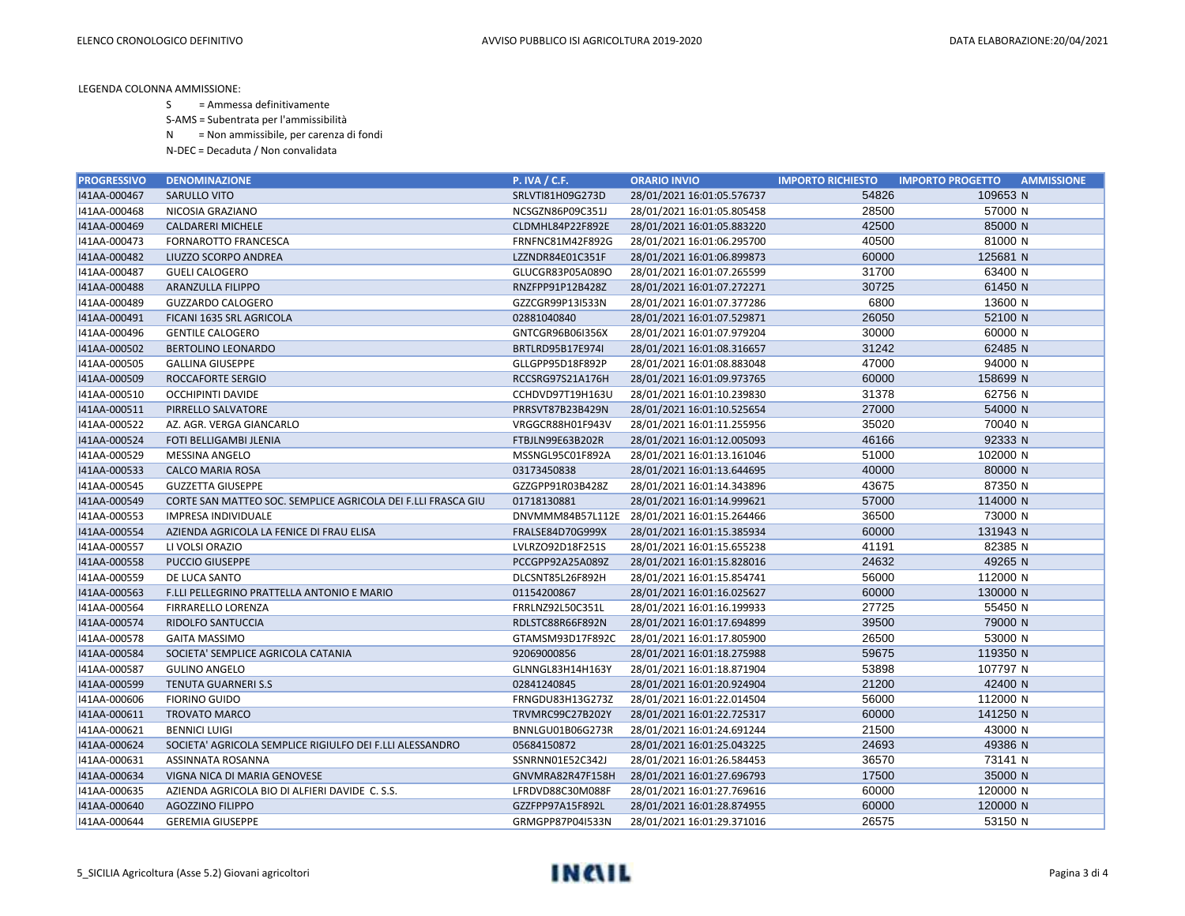S = Ammessa definitivamente

S-AMS = Subentrata per l'ammissibilità

N = Non ammissibile, per carenza di fondi

| <b>PROGRESSIVO</b> | <b>DENOMINAZIONE</b>                                         | <b>P. IVA / C.F.</b> | <b>ORARIO INVIO</b>                         | <b>IMPORTO RICHIESTO</b> | <b>IMPORTO PROGETTO</b> | <b>AMMISSIONE</b> |
|--------------------|--------------------------------------------------------------|----------------------|---------------------------------------------|--------------------------|-------------------------|-------------------|
| I41AA-000467       | SARULLO VITO                                                 | SRLVTI81H09G273D     | 28/01/2021 16:01:05.576737                  | 54826                    | 109653 N                |                   |
| I41AA-000468       | NICOSIA GRAZIANO                                             | NCSGZN86P09C351J     | 28/01/2021 16:01:05.805458                  | 28500                    | 57000 N                 |                   |
| I41AA-000469       | <b>CALDARERI MICHELE</b>                                     | CLDMHL84P22F892E     | 28/01/2021 16:01:05.883220                  | 42500                    | 85000 N                 |                   |
| I41AA-000473       | FORNAROTTO FRANCESCA                                         | FRNFNC81M42F892G     | 28/01/2021 16:01:06.295700                  | 40500                    | 81000 N                 |                   |
| I41AA-000482       | LIUZZO SCORPO ANDREA                                         | LZZNDR84E01C351F     | 28/01/2021 16:01:06.899873                  | 60000                    | 125681 N                |                   |
| I41AA-000487       | <b>GUELI CALOGERO</b>                                        | GLUCGR83P05A089O     | 28/01/2021 16:01:07.265599                  | 31700                    | 63400 N                 |                   |
| I41AA-000488       | ARANZULLA FILIPPO                                            | RNZFPP91P12B428Z     | 28/01/2021 16:01:07.272271                  | 30725                    | 61450 N                 |                   |
| I41AA-000489       | <b>GUZZARDO CALOGERO</b>                                     | GZZCGR99P13I533N     | 28/01/2021 16:01:07.377286                  | 6800                     | 13600 N                 |                   |
| I41AA-000491       | FICANI 1635 SRL AGRICOLA                                     | 02881040840          | 28/01/2021 16:01:07.529871                  | 26050                    | 52100 N                 |                   |
| I41AA-000496       | <b>GENTILE CALOGERO</b>                                      | GNTCGR96B06I356X     | 28/01/2021 16:01:07.979204                  | 30000                    | 60000 N                 |                   |
| I41AA-000502       | <b>BERTOLINO LEONARDO</b>                                    | BRTLRD95B17E974I     | 28/01/2021 16:01:08.316657                  | 31242                    | 62485 N                 |                   |
| I41AA-000505       | <b>GALLINA GIUSEPPE</b>                                      | GLLGPP95D18F892P     | 28/01/2021 16:01:08.883048                  | 47000                    | 94000 N                 |                   |
| 141AA-000509       | ROCCAFORTE SERGIO                                            | RCCSRG97S21A176H     | 28/01/2021 16:01:09.973765                  | 60000                    | 158699 N                |                   |
| I41AA-000510       | <b>OCCHIPINTI DAVIDE</b>                                     | CCHDVD97T19H163U     | 28/01/2021 16:01:10.239830                  | 31378                    | 62756 N                 |                   |
| I41AA-000511       | PIRRELLO SALVATORE                                           | PRRSVT87B23B429N     | 28/01/2021 16:01:10.525654                  | 27000                    | 54000 N                 |                   |
| I41AA-000522       | AZ. AGR. VERGA GIANCARLO                                     | VRGGCR88H01F943V     | 28/01/2021 16:01:11.255956                  | 35020                    | 70040 N                 |                   |
| 141AA-000524       | FOTI BELLIGAMBI JLENIA                                       | FTBJLN99E63B202R     | 28/01/2021 16:01:12.005093                  | 46166                    | 92333 N                 |                   |
| I41AA-000529       | MESSINA ANGELO                                               | MSSNGL95C01F892A     | 28/01/2021 16:01:13.161046                  | 51000                    | 102000 N                |                   |
| I41AA-000533       | <b>CALCO MARIA ROSA</b>                                      | 03173450838          | 28/01/2021 16:01:13.644695                  | 40000                    | 80000 N                 |                   |
| I41AA-000545       | <b>GUZZETTA GIUSEPPE</b>                                     | GZZGPP91R03B428Z     | 28/01/2021 16:01:14.343896                  | 43675                    | 87350 N                 |                   |
| 141AA-000549       | CORTE SAN MATTEO SOC. SEMPLICE AGRICOLA DEI F.LLI FRASCA GIU | 01718130881          | 28/01/2021 16:01:14.999621                  | 57000                    | 114000 N                |                   |
| I41AA-000553       | <b>IMPRESA INDIVIDUALE</b>                                   |                      | DNVMMM84B57L112E 28/01/2021 16:01:15.264466 | 36500                    | 73000 N                 |                   |
| I41AA-000554       | AZIENDA AGRICOLA LA FENICE DI FRAU ELISA                     | FRALSE84D70G999X     | 28/01/2021 16:01:15.385934                  | 60000                    | 131943 N                |                   |
| I41AA-000557       | LI VOLSI ORAZIO                                              | LVLRZO92D18F251S     | 28/01/2021 16:01:15.655238                  | 41191                    | 82385 N                 |                   |
| 141AA-000558       | <b>PUCCIO GIUSEPPE</b>                                       | PCCGPP92A25A089Z     | 28/01/2021 16:01:15.828016                  | 24632                    | 49265 N                 |                   |
| I41AA-000559       | DE LUCA SANTO                                                | DLCSNT85L26F892H     | 28/01/2021 16:01:15.854741                  | 56000                    | 112000 N                |                   |
| I41AA-000563       | F.LLI PELLEGRINO PRATTELLA ANTONIO E MARIO                   | 01154200867          | 28/01/2021 16:01:16.025627                  | 60000                    | 130000 N                |                   |
| I41AA-000564       | <b>FIRRARELLO LORENZA</b>                                    | FRRLNZ92L50C351L     | 28/01/2021 16:01:16.199933                  | 27725                    | 55450 N                 |                   |
| I41AA-000574       | RIDOLFO SANTUCCIA                                            | RDLSTC88R66F892N     | 28/01/2021 16:01:17.694899                  | 39500                    | 79000 N                 |                   |
| I41AA-000578       | <b>GAITA MASSIMO</b>                                         | GTAMSM93D17F892C     | 28/01/2021 16:01:17.805900                  | 26500                    | 53000 N                 |                   |
| I41AA-000584       | SOCIETA' SEMPLICE AGRICOLA CATANIA                           | 92069000856          | 28/01/2021 16:01:18.275988                  | 59675                    | 119350 N                |                   |
| I41AA-000587       | <b>GULINO ANGELO</b>                                         | GLNNGL83H14H163Y     | 28/01/2021 16:01:18.871904                  | 53898                    | 107797 N                |                   |
| I41AA-000599       | <b>TENUTA GUARNERI S.S</b>                                   | 02841240845          | 28/01/2021 16:01:20.924904                  | 21200                    | 42400 N                 |                   |
| I41AA-000606       | <b>FIORINO GUIDO</b>                                         | FRNGDU83H13G273Z     | 28/01/2021 16:01:22.014504                  | 56000                    | 112000 N                |                   |
| I41AA-000611       | TROVATO MARCO                                                | TRVMRC99C27B202Y     | 28/01/2021 16:01:22.725317                  | 60000                    | 141250 N                |                   |
| I41AA-000621       | <b>BENNICI LUIGI</b>                                         | BNNLGU01B06G273R     | 28/01/2021 16:01:24.691244                  | 21500                    | 43000 N                 |                   |
| 141AA-000624       | SOCIETA' AGRICOLA SEMPLICE RIGIULFO DEI F.LLI ALESSANDRO     | 05684150872          | 28/01/2021 16:01:25.043225                  | 24693                    | 49386 N                 |                   |
| I41AA-000631       | ASSINNATA ROSANNA                                            | SSNRNN01E52C342J     | 28/01/2021 16:01:26.584453                  | 36570                    | 73141 N                 |                   |
| I41AA-000634       | VIGNA NICA DI MARIA GENOVESE                                 | GNVMRA82R47F158H     | 28/01/2021 16:01:27.696793                  | 17500                    | 35000 N                 |                   |
| I41AA-000635       | AZIENDA AGRICOLA BIO DI ALFIERI DAVIDE C. S.S.               | LFRDVD88C30M088F     | 28/01/2021 16:01:27.769616                  | 60000                    | 120000 N                |                   |
| 141AA-000640       | <b>AGOZZINO FILIPPO</b>                                      | GZZFPP97A15F892L     | 28/01/2021 16:01:28.874955                  | 60000                    | 120000 N                |                   |
| 141AA-000644       | <b>GEREMIA GIUSEPPE</b>                                      | GRMGPP87P04I533N     | 28/01/2021 16:01:29.371016                  | 26575                    | 53150 N                 |                   |